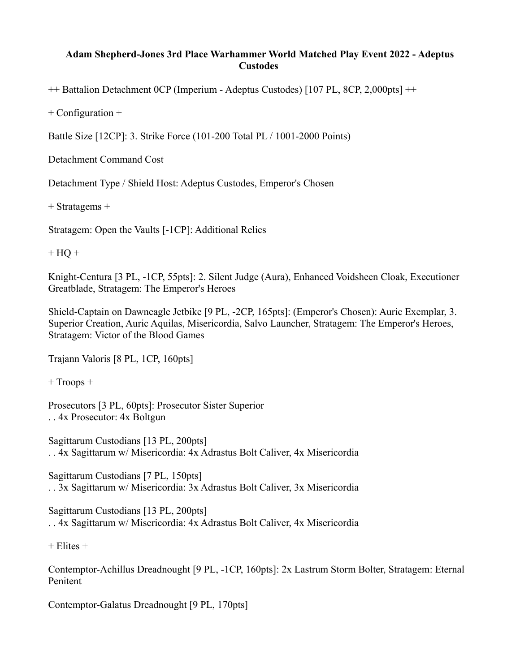## **Adam Shepherd-Jones 3rd Place Warhammer World Matched Play Event 2022 - Adeptus Custodes**

++ Battalion Detachment 0CP (Imperium - Adeptus Custodes) [107 PL, 8CP, 2,000pts] ++

+ Configuration +

Battle Size [12CP]: 3. Strike Force (101-200 Total PL / 1001-2000 Points)

Detachment Command Cost

Detachment Type / Shield Host: Adeptus Custodes, Emperor's Chosen

+ Stratagems +

Stratagem: Open the Vaults [-1CP]: Additional Relics

 $+ HO +$ 

Knight-Centura [3 PL, -1CP, 55pts]: 2. Silent Judge (Aura), Enhanced Voidsheen Cloak, Executioner Greatblade, Stratagem: The Emperor's Heroes

Shield-Captain on Dawneagle Jetbike [9 PL, -2CP, 165pts]: (Emperor's Chosen): Auric Exemplar, 3. Superior Creation, Auric Aquilas, Misericordia, Salvo Launcher, Stratagem: The Emperor's Heroes, Stratagem: Victor of the Blood Games

Trajann Valoris [8 PL, 1CP, 160pts]

+ Troops +

Prosecutors [3 PL, 60pts]: Prosecutor Sister Superior . . 4x Prosecutor: 4x Boltgun

Sagittarum Custodians [13 PL, 200pts] . . 4x Sagittarum w/ Misericordia: 4x Adrastus Bolt Caliver, 4x Misericordia

Sagittarum Custodians [7 PL, 150pts] . . 3x Sagittarum w/ Misericordia: 3x Adrastus Bolt Caliver, 3x Misericordia

Sagittarum Custodians [13 PL, 200pts] . . 4x Sagittarum w/ Misericordia: 4x Adrastus Bolt Caliver, 4x Misericordia

 $+$  Elites  $+$ 

Contemptor-Achillus Dreadnought [9 PL, -1CP, 160pts]: 2x Lastrum Storm Bolter, Stratagem: Eternal Penitent

Contemptor-Galatus Dreadnought [9 PL, 170pts]